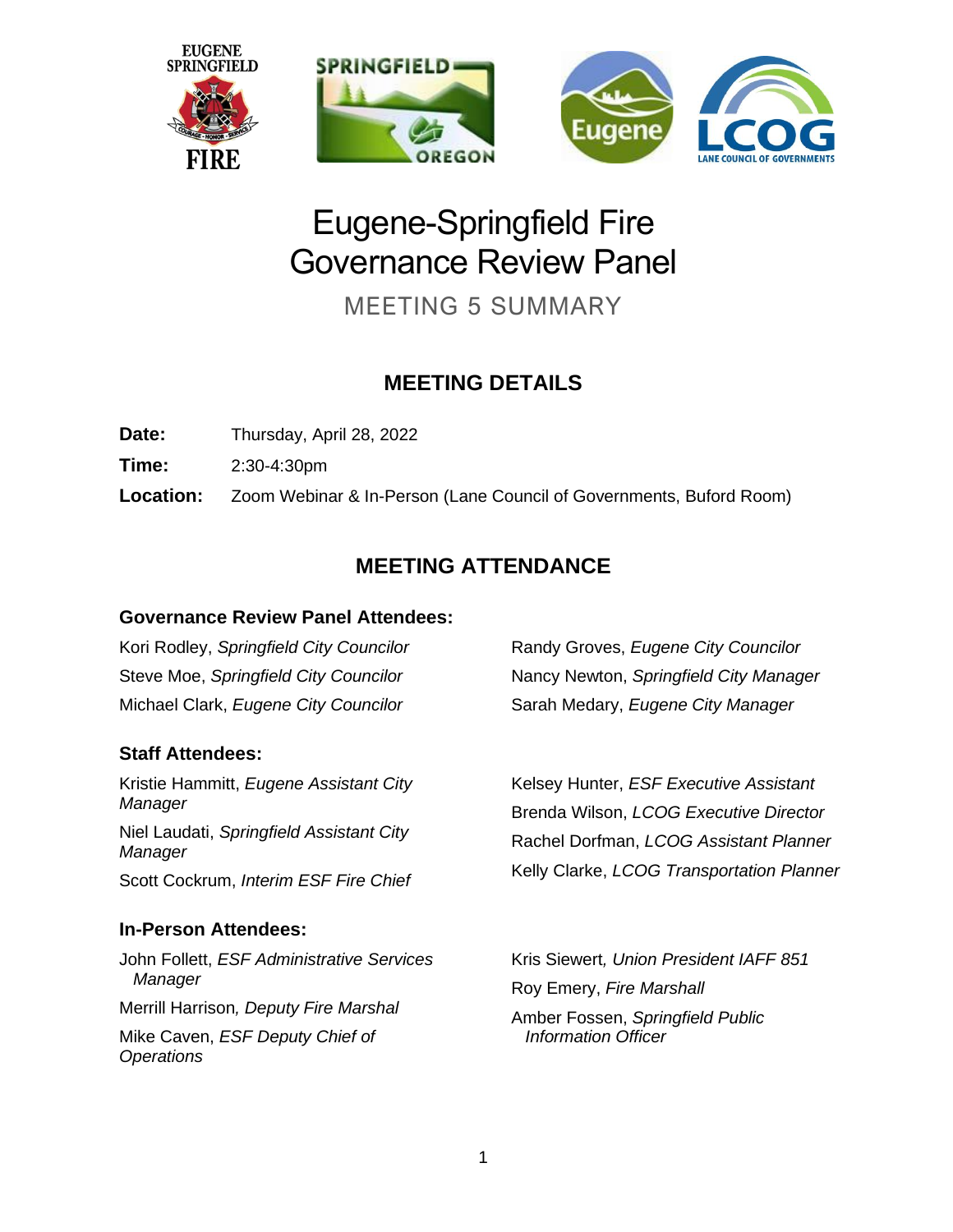

# Eugene-Springfield Fire Governance Review Panel

MEETING 5 SUMMARY

# **MEETING DETAILS**

Date: Thursday, April 28, 2022

**Time:** 2:30-4:30pm

**Location:** Zoom Webinar & In-Person (Lane Council of Governments, Buford Room)

# **MEETING ATTENDANCE**

#### **Governance Review Panel Attendees:**

Kori Rodley, *Springfield City Councilor* Steve Moe, *Springfield City Councilor* Michael Clark, *Eugene City Councilor*

## **Staff Attendees:**

Kristie Hammitt, *Eugene Assistant City Manager* Niel Laudati, *Springfield Assistant City Manager* Scott Cockrum, *Interim ESF Fire Chief*

## **In-Person Attendees:**

John Follett, *ESF Administrative Services Manager* Merrill Harrison*, Deputy Fire Marshal* Mike Caven, *ESF Deputy Chief of Operations*

Randy Groves, *Eugene City Councilor* Nancy Newton, *Springfield City Manager* Sarah Medary, *Eugene City Manager*

Kelsey Hunter, *ESF Executive Assistant* Brenda Wilson, *LCOG Executive Director* Rachel Dorfman, *LCOG Assistant Planner* Kelly Clarke, *LCOG Transportation Planner*

Kris Siewert*, Union President IAFF 851* Roy Emery, *Fire Marshall* Amber Fossen, *Springfield Public Information Officer*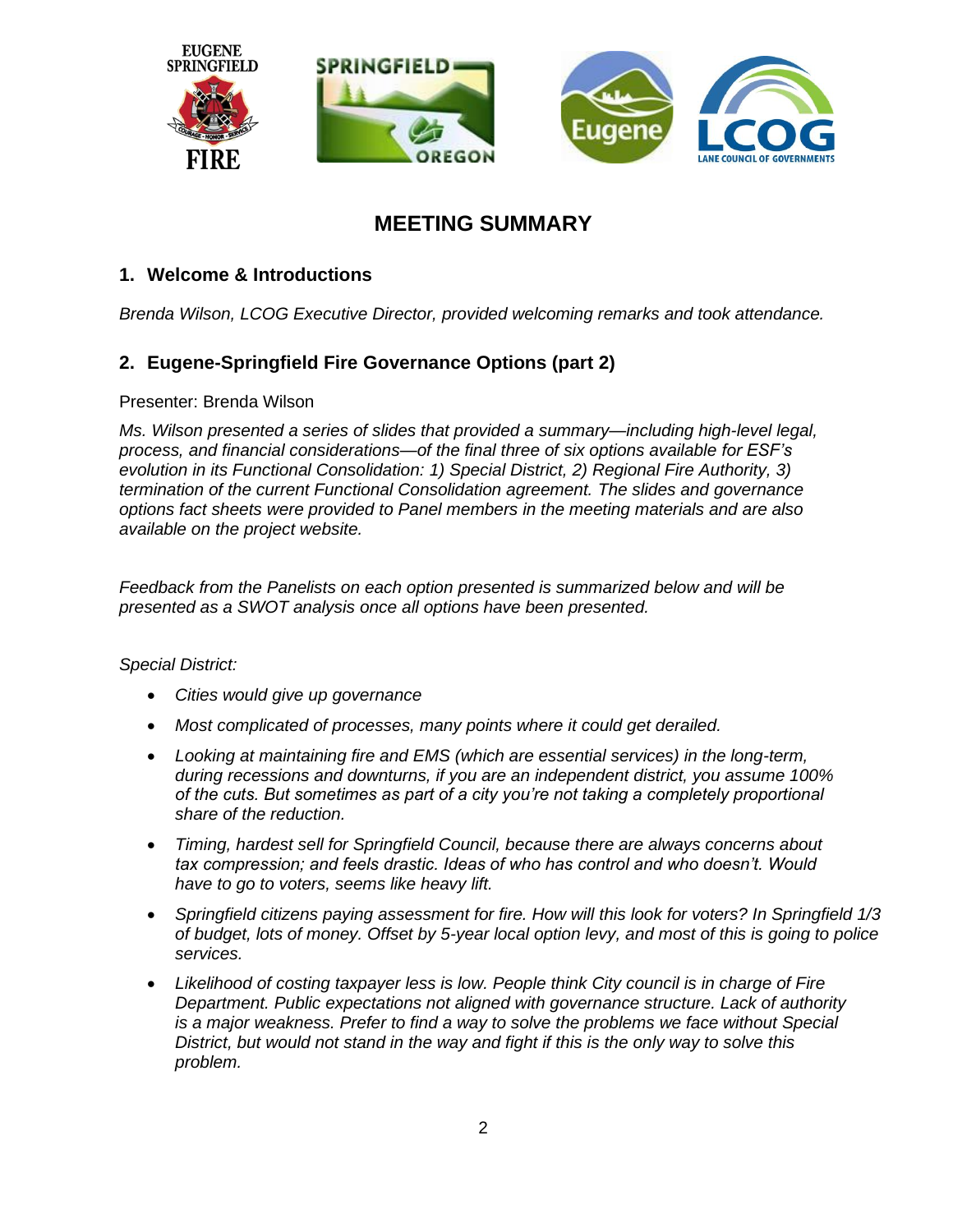

# **MEETING SUMMARY**

#### **1. Welcome & Introductions**

*Brenda Wilson, LCOG Executive Director, provided welcoming remarks and took attendance.*

#### **2. Eugene-Springfield Fire Governance Options (part 2)**

Presenter: Brenda Wilson

*Ms. Wilson presented a series of slides that provided a summary—including high-level legal, process, and financial considerations—of the final three of six options available for ESF's evolution in its Functional Consolidation: 1) Special District, 2) Regional Fire Authority, 3) termination of the current Functional Consolidation agreement. The slides and governance options fact sheets were provided to Panel members in the meeting materials and are also available on the project website.* 

*Feedback from the Panelists on each option presented is summarized below and will be presented as a SWOT analysis once all options have been presented.* 

*Special District:*

- *Cities would give up governance*
- *Most complicated of processes, many points where it could get derailed.*
- *Looking at maintaining fire and EMS (which are essential services) in the long-term, during recessions and downturns, if you are an independent district, you assume 100% of the cuts. But sometimes as part of a city you're not taking a completely proportional share of the reduction.*
- *Timing, hardest sell for Springfield Council, because there are always concerns about tax compression; and feels drastic. Ideas of who has control and who doesn't. Would have to go to voters, seems like heavy lift.*
- *Springfield citizens paying assessment for fire. How will this look for voters? In Springfield 1/3 of budget, lots of money. Offset by 5-year local option levy, and most of this is going to police services.*
- *Likelihood of costing taxpayer less is low. People think City council is in charge of Fire Department. Public expectations not aligned with governance structure. Lack of authority is a major weakness. Prefer to find a way to solve the problems we face without Special District, but would not stand in the way and fight if this is the only way to solve this problem.*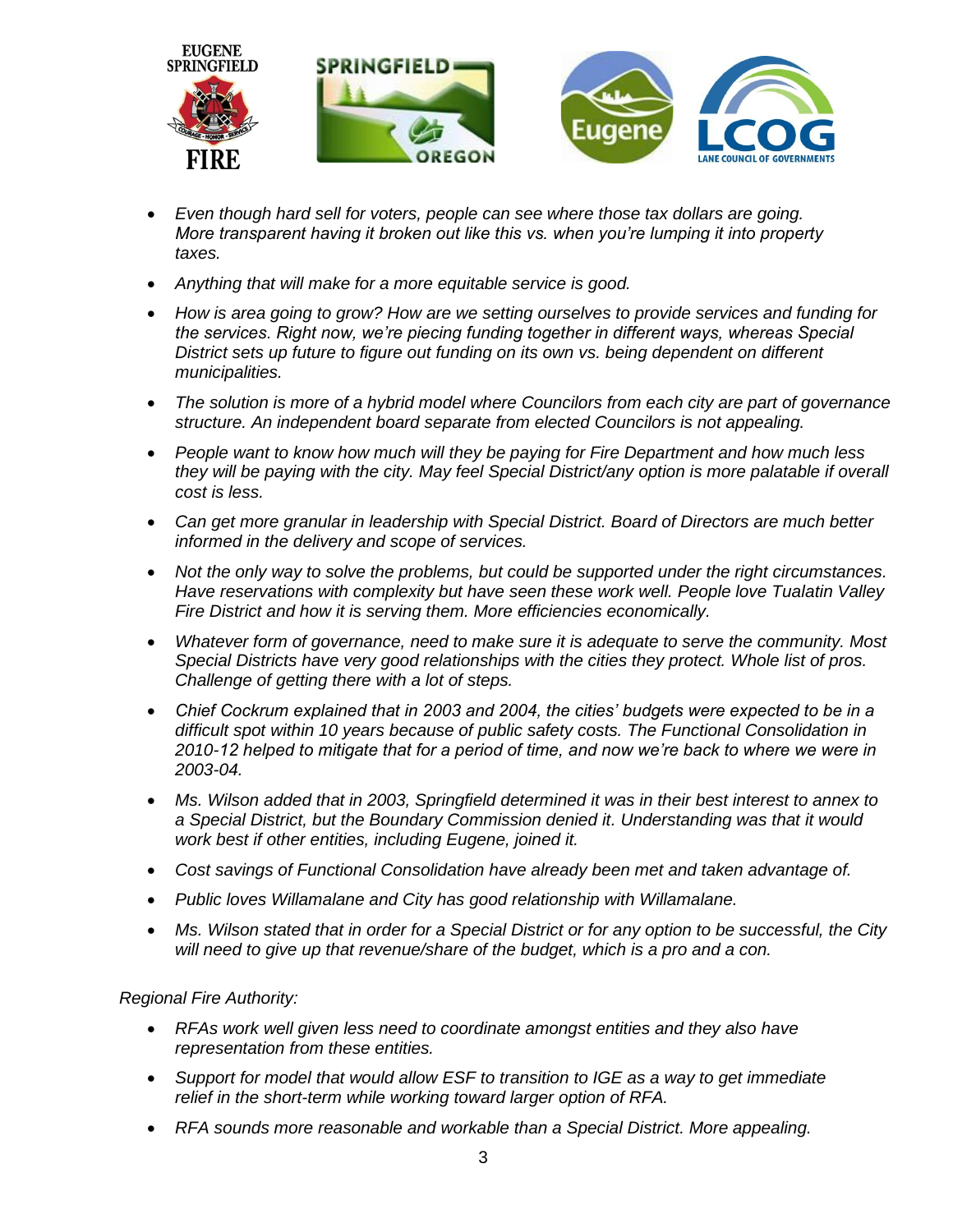

- *Even though hard sell for voters, people can see where those tax dollars are going. More transparent having it broken out like this vs. when you're lumping it into property taxes.*
- *Anything that will make for a more equitable service is good.*
- *How is area going to grow? How are we setting ourselves to provide services and funding for the services. Right now, we're piecing funding together in different ways, whereas Special District sets up future to figure out funding on its own vs. being dependent on different municipalities.*
- *The solution is more of a hybrid model where Councilors from each city are part of governance structure. An independent board separate from elected Councilors is not appealing.*
- *People want to know how much will they be paying for Fire Department and how much less they will be paying with the city. May feel Special District/any option is more palatable if overall cost is less.*
- *Can get more granular in leadership with Special District. Board of Directors are much better informed in the delivery and scope of services.*
- *Not the only way to solve the problems, but could be supported under the right circumstances. Have reservations with complexity but have seen these work well. People love Tualatin Valley Fire District and how it is serving them. More efficiencies economically.*
- *Whatever form of governance, need to make sure it is adequate to serve the community. Most Special Districts have very good relationships with the cities they protect. Whole list of pros. Challenge of getting there with a lot of steps.*
- *Chief Cockrum explained that in 2003 and 2004, the cities' budgets were expected to be in a difficult spot within 10 years because of public safety costs. The Functional Consolidation in 2010-12 helped to mitigate that for a period of time, and now we're back to where we were in 2003-04.*
- *Ms. Wilson added that in 2003, Springfield determined it was in their best interest to annex to a Special District, but the Boundary Commission denied it. Understanding was that it would work best if other entities, including Eugene, joined it.*
- *Cost savings of Functional Consolidation have already been met and taken advantage of.*
- *Public loves Willamalane and City has good relationship with Willamalane.*
- *Ms. Wilson stated that in order for a Special District or for any option to be successful, the City will need to give up that revenue/share of the budget, which is a pro and a con.*

#### *Regional Fire Authority:*

- *RFAs work well given less need to coordinate amongst entities and they also have representation from these entities.*
- *Support for model that would allow ESF to transition to IGE as a way to get immediate relief in the short-term while working toward larger option of RFA.*
- *RFA sounds more reasonable and workable than a Special District. More appealing.*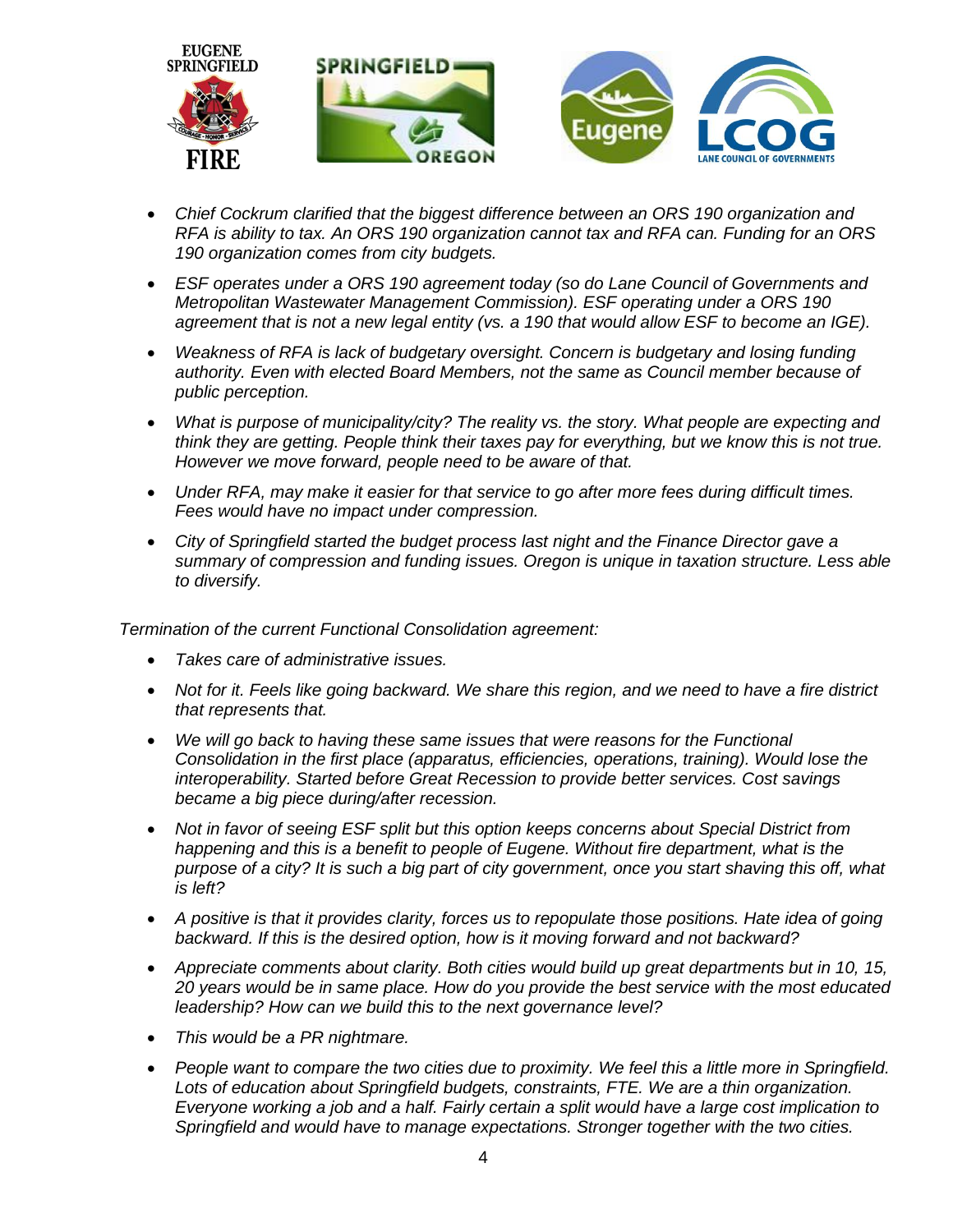

- *Chief Cockrum clarified that the biggest difference between an ORS 190 organization and RFA is ability to tax. An ORS 190 organization cannot tax and RFA can. Funding for an ORS 190 organization comes from city budgets.*
- *ESF operates under a ORS 190 agreement today (so do Lane Council of Governments and Metropolitan Wastewater Management Commission). ESF operating under a ORS 190 agreement that is not a new legal entity (vs. a 190 that would allow ESF to become an IGE).*
- *Weakness of RFA is lack of budgetary oversight. Concern is budgetary and losing funding authority. Even with elected Board Members, not the same as Council member because of public perception.*
- *What is purpose of municipality/city? The reality vs. the story. What people are expecting and think they are getting. People think their taxes pay for everything, but we know this is not true. However we move forward, people need to be aware of that.*
- *Under RFA, may make it easier for that service to go after more fees during difficult times. Fees would have no impact under compression.*
- *City of Springfield started the budget process last night and the Finance Director gave a summary of compression and funding issues. Oregon is unique in taxation structure. Less able to diversify.*

*Termination of the current Functional Consolidation agreement:*

- *Takes care of administrative issues.*
- *Not for it. Feels like going backward. We share this region, and we need to have a fire district that represents that.*
- *We will go back to having these same issues that were reasons for the Functional Consolidation in the first place (apparatus, efficiencies, operations, training). Would lose the interoperability. Started before Great Recession to provide better services. Cost savings became a big piece during/after recession.*
- *Not in favor of seeing ESF split but this option keeps concerns about Special District from happening and this is a benefit to people of Eugene. Without fire department, what is the purpose of a city? It is such a big part of city government, once you start shaving this off, what is left?*
- *A positive is that it provides clarity, forces us to repopulate those positions. Hate idea of going backward. If this is the desired option, how is it moving forward and not backward?*
- *Appreciate comments about clarity. Both cities would build up great departments but in 10, 15, 20 years would be in same place. How do you provide the best service with the most educated leadership? How can we build this to the next governance level?*
- *This would be a PR nightmare.*
- *People want to compare the two cities due to proximity. We feel this a little more in Springfield. Lots of education about Springfield budgets, constraints, FTE. We are a thin organization. Everyone working a job and a half. Fairly certain a split would have a large cost implication to Springfield and would have to manage expectations. Stronger together with the two cities.*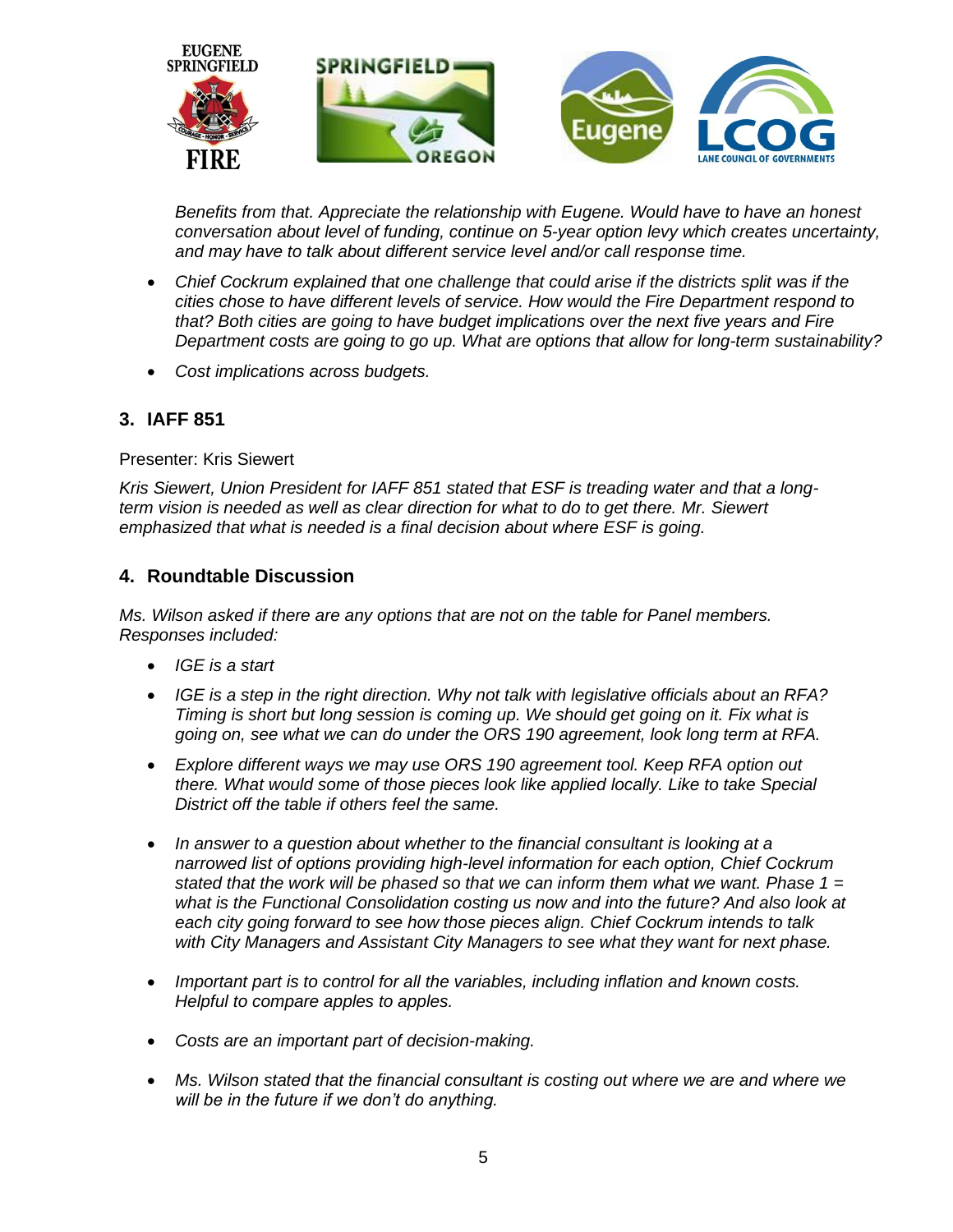

*Benefits from that. Appreciate the relationship with Eugene. Would have to have an honest conversation about level of funding, continue on 5-year option levy which creates uncertainty, and may have to talk about different service level and/or call response time.* 

- *Chief Cockrum explained that one challenge that could arise if the districts split was if the cities chose to have different levels of service. How would the Fire Department respond to that? Both cities are going to have budget implications over the next five years and Fire Department costs are going to go up. What are options that allow for long-term sustainability?*
- *Cost implications across budgets.*

## **3. IAFF 851**

Presenter: Kris Siewert

*Kris Siewert, Union President for IAFF 851 stated that ESF is treading water and that a longterm vision is needed as well as clear direction for what to do to get there. Mr. Siewert emphasized that what is needed is a final decision about where ESF is going.* 

#### **4. Roundtable Discussion**

*Ms. Wilson asked if there are any options that are not on the table for Panel members. Responses included:*

- *IGE is a start*
- *IGE is a step in the right direction. Why not talk with legislative officials about an RFA? Timing is short but long session is coming up. We should get going on it. Fix what is going on, see what we can do under the ORS 190 agreement, look long term at RFA.*
- *Explore different ways we may use ORS 190 agreement tool. Keep RFA option out there. What would some of those pieces look like applied locally. Like to take Special District off the table if others feel the same.*
- *In answer to a question about whether to the financial consultant is looking at a narrowed list of options providing high-level information for each option, Chief Cockrum stated that the work will be phased so that we can inform them what we want. Phase 1 = what is the Functional Consolidation costing us now and into the future? And also look at each city going forward to see how those pieces align. Chief Cockrum intends to talk with City Managers and Assistant City Managers to see what they want for next phase.*
- *Important part is to control for all the variables, including inflation and known costs. Helpful to compare apples to apples.*
- *Costs are an important part of decision-making.*
- *Ms. Wilson stated that the financial consultant is costing out where we are and where we will be in the future if we don't do anything.*